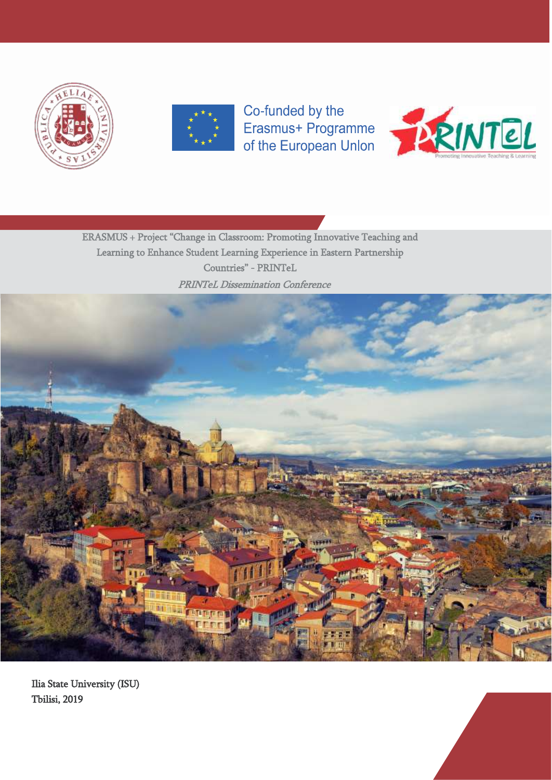



Co-funded by the



ERASMUS + Project "Change in Classroom: Promoting Innovative Teaching and Learning to Enhance Student Learning Experience in Eastern Partnership Countries" - PRINTeL



Ilia State University (ISU) Tbilisi, 2019

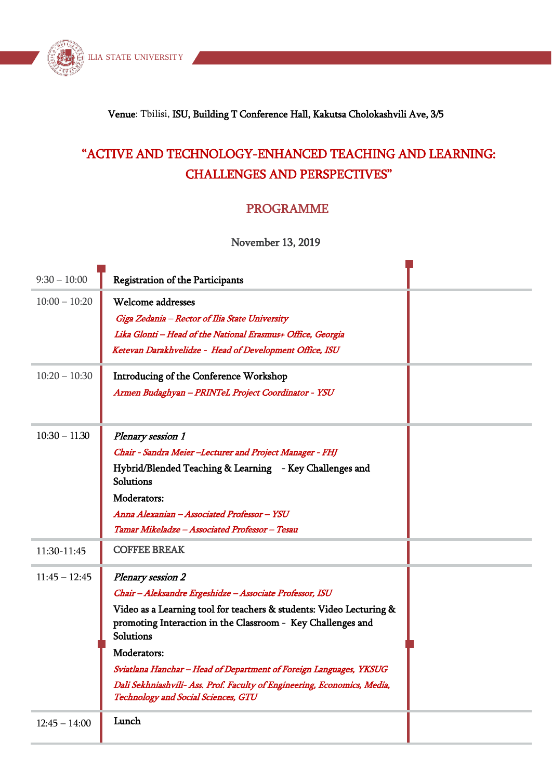

### Venue: Tbilisi, ISU, Building T Conference Hall, Kakutsa Cholokashvili Ave, 3/5

# "ACTIVE AND TECHNOLOGY-ENHANCED TEACHING AND LEARNING: CHALLENGES AND PERSPECTIVES"

## PROGRAMME

#### November 13, 2019

| $9:30 - 10:00$  | <b>Registration of the Participants</b>                                                                                                         |
|-----------------|-------------------------------------------------------------------------------------------------------------------------------------------------|
| $10:00 - 10:20$ | Welcome addresses                                                                                                                               |
|                 | Giga Zedania - Rector of Ilia State University                                                                                                  |
|                 | Lika Glonti - Head of the National Erasmus+ Office, Georgia                                                                                     |
|                 | Ketevan Darakhvelidze - Head of Development Office, ISU                                                                                         |
| $10:20 - 10:30$ | Introducing of the Conference Workshop                                                                                                          |
|                 | Armen Budaghyan - PRINTeL Project Coordinator - YSU                                                                                             |
|                 |                                                                                                                                                 |
| $10:30 - 11.30$ | Plenary session 1                                                                                                                               |
|                 | Chair - Sandra Meier -Lecturer and Project Manager - FHJ                                                                                        |
|                 | Hybrid/Blended Teaching & Learning - Key Challenges and<br><b>Solutions</b>                                                                     |
|                 | Moderators:                                                                                                                                     |
|                 | Anna Alexanian - Associated Professor - YSU                                                                                                     |
|                 | Tamar Mikeladze - Associated Professor - Tesau                                                                                                  |
| 11:30-11:45     | <b>COFFEE BREAK</b>                                                                                                                             |
| $11:45 - 12:45$ | Plenary session 2                                                                                                                               |
|                 | Chair - Aleksandre Ergeshidze - Associate Professor, ISU                                                                                        |
|                 | Video as a Learning tool for teachers & students: Video Lecturing &<br>promoting Interaction in the Classroom - Key Challenges and<br>Solutions |
|                 | Moderators:                                                                                                                                     |
|                 | Sviatlana Hanchar - Head of Department of Foreign Languages, YKSUG                                                                              |
|                 | Dali Sekhniashvili- Ass. Prof. Faculty of Engineering, Economics, Media,<br>Technology and Social Sciences, GTU                                 |
| $12:45 - 14:00$ | Lunch                                                                                                                                           |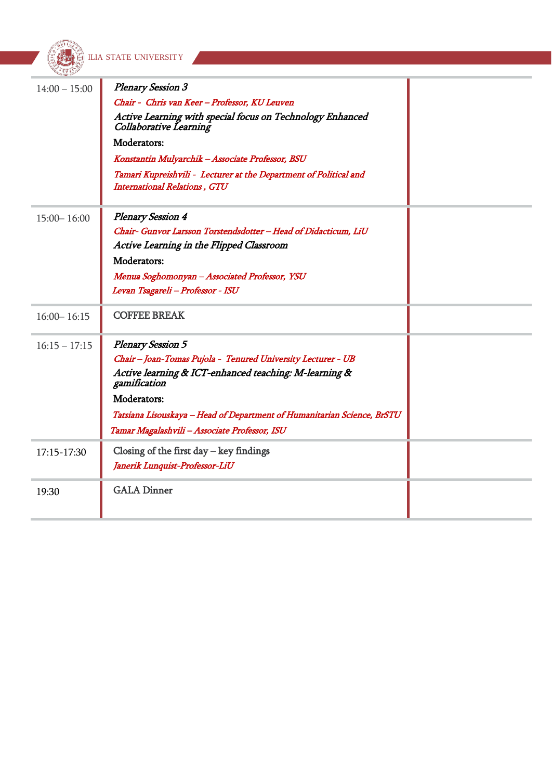|                 | LIA STATE UNIVERSITY                                                                                     |  |
|-----------------|----------------------------------------------------------------------------------------------------------|--|
|                 |                                                                                                          |  |
| $14:00 - 15:00$ | <b>Plenary Session 3</b>                                                                                 |  |
|                 | Chair - Chris van Keer - Professor, KU Leuven                                                            |  |
|                 | Active Learning with special focus on Technology Enhanced<br><b>Collaborative Learning</b>               |  |
|                 | Moderators:                                                                                              |  |
|                 | Konstantin Mulyarchik - Associate Professor, BSU                                                         |  |
|                 | Tamari Kupreishvili - Lecturer at the Department of Political and<br><b>International Relations, GTU</b> |  |
| $15:00 - 16:00$ | <b>Plenary Session 4</b>                                                                                 |  |
|                 | Chair- Gunvor Larsson Torstendsdotter - Head of Didacticum, LiU                                          |  |
|                 | Active Learning in the Flipped Classroom                                                                 |  |
|                 | Moderators:                                                                                              |  |
|                 | Menua Soghomonyan - Associated Professor, YSU                                                            |  |
|                 | Levan Tsagareli - Professor - ISU                                                                        |  |
| $16:00 - 16:15$ | <b>COFFEE BREAK</b>                                                                                      |  |
| $16:15 - 17:15$ | <b>Plenary Session 5</b>                                                                                 |  |
|                 | Chair - Joan-Tomas Pujola - Tenured University Lecturer - UB                                             |  |
|                 | Active learning & ICT-enhanced teaching: M-learning &<br>gamification                                    |  |
|                 | Moderators:                                                                                              |  |
|                 | Tatsiana Lisouskaya - Head of Department of Humanitarian Science, BrSTU                                  |  |
|                 | Tamar Magalashvili - Associate Professor, ISU                                                            |  |
| 17:15-17:30     | Closing of the first day $-$ key findings                                                                |  |
|                 | Janerik Lunquist-Professor-LiU                                                                           |  |
| 19:30           | <b>GALA Dinner</b>                                                                                       |  |

m.

**Service**